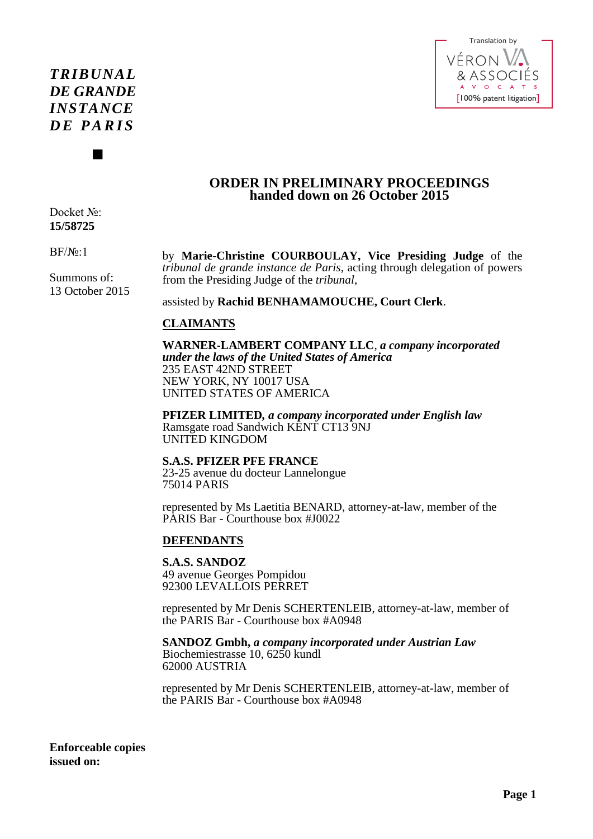# *TRIBUNAL DE GRANDE INSTANCE D E P A R I S*

 $\blacksquare$ 



## **ORDER IN PRELIMINARY PROCEEDINGS handed down on 26 October 2015**

Docket No: **15/58725** 

BF/№:1

Summons of: 13 October 2015 by **Marie-Christine COURBOULAY, Vice Presiding Judge** of the *tribunal de grande instance de Paris*, acting through delegation of powers from the Presiding Judge of the *tribunal*,

assisted by **Rachid BENHAMAMOUCHE, Court Clerk**.

# **CLAIMANTS**

**WARNER-LAMBERT COMPANY LLC**, *a company incorporated under the laws of the United States of America*  235 EAST 42ND STREET NEW YORK, NY 10017 USA UNITED STATES OF AMERICA

**PFIZER LIMITED***, a company incorporated under English law*  Ramsgate road Sandwich KENT CT13 9NJ UNITED KINGDOM

**S.A.S. PFIZER PFE FRANCE**  23-25 avenue du docteur Lannelongue 75014 PARIS

represented by Ms Laetitia BENARD, attorney-at-law, member of the PARIS Bar - Courthouse box #J0022

# **DEFENDANTS**

**S.A.S. SANDOZ**  49 avenue Georges Pompidou

92300 LEVALLOIS PERRET

represented by Mr Denis SCHERTENLEIB, attorney-at-law, member of the PARIS Bar - Courthouse box #A0948

## **SANDOZ Gmbh,** *a company incorporated under Austrian Law*

Biochemiestrasse 10, 6250 kundl 62000 AUSTRIA

represented by Mr Denis SCHERTENLEIB, attorney-at-law, member of the PARIS Bar - Courthouse box #A0948

**Enforceable copies issued on:**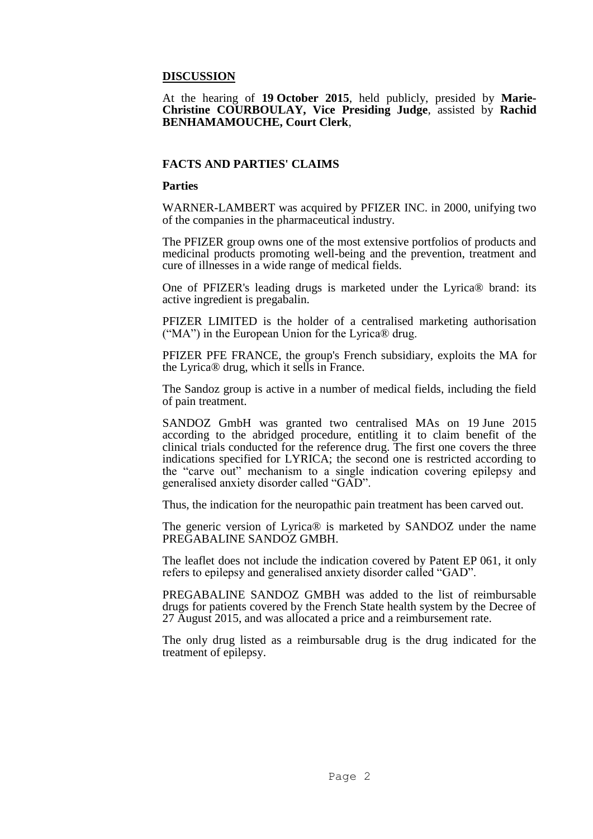## **DISCUSSION**

## At the hearing of **19 October 2015**, held publicly, presided by **Marie-Christine COURBOULAY, Vice Presiding Judge**, assisted by **Rachid BENHAMAMOUCHE, Court Clerk**,

## **FACTS AND PARTIES' CLAIMS**

#### **Parties**

WARNER-LAMBERT was acquired by PFIZER INC. in 2000, unifying two of the companies in the pharmaceutical industry.

The PFIZER group owns one of the most extensive portfolios of products and medicinal products promoting well-being and the prevention, treatment and cure of illnesses in a wide range of medical fields.

One of PFIZER's leading drugs is marketed under the Lyrica® brand: its active ingredient is pregabalin.

PFIZER LIMITED is the holder of a centralised marketing authorisation ("MA") in the European Union for the Lyrica® drug.

PFIZER PFE FRANCE, the group's French subsidiary, exploits the MA for the Lyrica® drug, which it sells in France.

The Sandoz group is active in a number of medical fields, including the field of pain treatment.

SANDOZ GmbH was granted two centralised MAs on 19 June 2015 according to the abridged procedure, entitling it to claim benefit of the clinical trials conducted for the reference drug. The first one covers the three indications specified for LYRICA; the second one is restricted according to the "carve out" mechanism to a single indication covering epilepsy and generalised anxiety disorder called "GAD".

Thus, the indication for the neuropathic pain treatment has been carved out.

The generic version of Lyrica® is marketed by SANDOZ under the name PREĞABALINE SANDOZ GMBH.

The leaflet does not include the indication covered by Patent EP 061, it only refers to epilepsy and generalised anxiety disorder called "GAD".

PREGABALINE SANDOZ GMBH was added to the list of reimbursable drugs for patients covered by the French State health system by the Decree of 27 August 2015, and was allocated a price and a reimbursement rate.

The only drug listed as a reimbursable drug is the drug indicated for the treatment of epilepsy.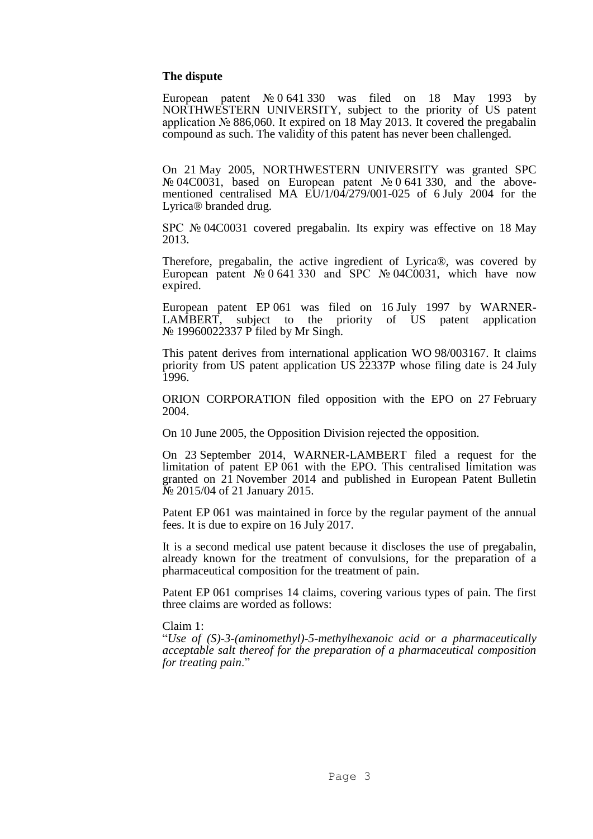#### **The dispute**

European patent № 0 641 330 was filed on 18 May 1993 by NORTHWESTERN UNIVERSITY, subject to the priority of US patent application № 886,060. It expired on 18 May 2013. It covered the pregabalin compound as such. The validity of this patent has never been challenged.

On 21 May 2005, NORTHWESTERN UNIVERSITY was granted SPC № 04C0031, based on European patent № 0 641 330, and the abovementioned centralised MA EU/1/04/279/001-025 of 6 July 2004 for the Lyrica® branded drug.

SPC № 04C0031 covered pregabalin. Its expiry was effective on 18 May 2013.

Therefore, pregabalin, the active ingredient of Lyrica®, was covered by European patent  $\mathbb{N}^{\circ}$  0 641 330 and SPC  $\mathbb{N}^{\circ}$  04C0031, which have now expired.

European patent EP 061 was filed on 16 July 1997 by WARNER-<br>LAMBERT, subject to the priority of US patent application LAMBERT, subject to the priority of US patent application № 19960022337 P filed by Mr Singh.

This patent derives from international application WO 98/003167. It claims priority from US patent application US 22337P whose filing date is 24 July 1996.

ORION CORPORATION filed opposition with the EPO on 27 February 2004.

On 10 June 2005, the Opposition Division rejected the opposition.

On 23 September 2014, WARNER-LAMBERT filed a request for the limitation of patent EP 061 with the EPO. This centralised limitation was granted on 21 November 2014 and published in European Patent Bulletin № 2015/04 of 21 January 2015.

Patent EP 061 was maintained in force by the regular payment of the annual fees. It is due to expire on 16 July 2017.

It is a second medical use patent because it discloses the use of pregabalin, already known for the treatment of convulsions, for the preparation of a pharmaceutical composition for the treatment of pain.

Patent EP 061 comprises 14 claims, covering various types of pain. The first three claims are worded as follows:

Claim 1:

"*Use of (S)-3-(aminomethyl)-5-methylhexanoic acid or a pharmaceutically acceptable salt thereof for the preparation of a pharmaceutical composition for treating pain*."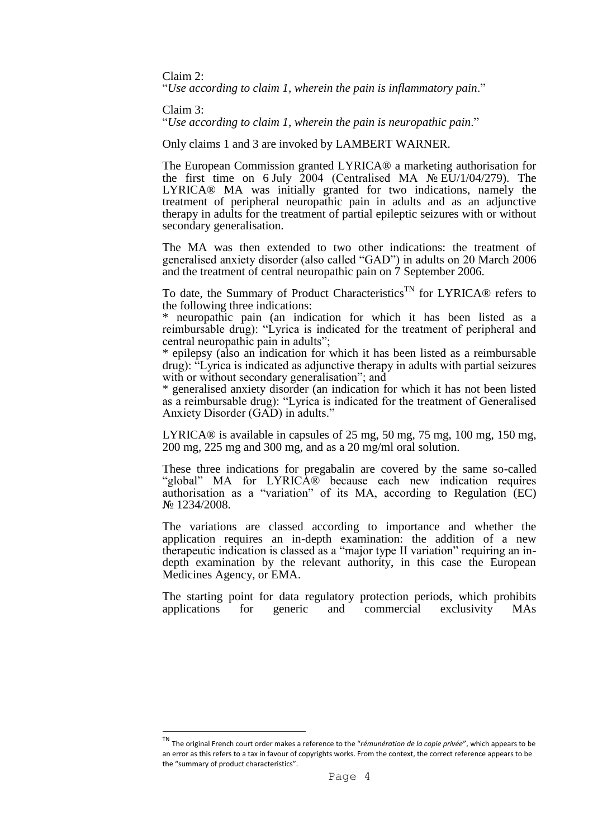Claim 2:

"*Use according to claim 1, wherein the pain is inflammatory pain*."

Claim 3:

**.** 

"*Use according to claim 1, wherein the pain is neuropathic pain*."

Only claims 1 and 3 are invoked by LAMBERT WARNER.

The European Commission granted LYRICA® a marketing authorisation for the first time on 6 July 2004 (Centralised MA  $\mathcal{N}$  EU/1/04/279). The LYRICA® MA was initially granted for two indications, namely the treatment of peripheral neuropathic pain in adults and as an adjunctive therapy in adults for the treatment of partial epileptic seizures with or without secondary generalisation.

The MA was then extended to two other indications: the treatment of generalised anxiety disorder (also called "GAD") in adults on 20 March 2006 and the treatment of central neuropathic pain on 7 September 2006.

To date, the Summary of Product Characteristics<sup>TN</sup> for LYRICA<sup>®</sup> refers to the following three indications:

\* neuropathic pain (an indication for which it has been listed as a reimbursable drug): "Lyrica is indicated for the treatment of peripheral and central neuropathic pain in adults";

\* epilepsy (also an indication for which it has been listed as a reimbursable drug): "Lyrica is indicated as adjunctive therapy in adults with partial seizures with or without secondary generalisation"; and

\* generalised anxiety disorder (an indication for which it has not been listed as a reimbursable drug): "Lyrica is indicated for the treatment of Generalised Anxiety Disorder (GAD) in adults."

LYRICA<sup>®</sup> is available in capsules of 25 mg, 50 mg, 75 mg, 100 mg, 150 mg, 200 mg, 225 mg and 300 mg, and as a 20 mg/ml oral solution.

These three indications for pregabalin are covered by the same so-called "global" MA for LYRICA® because each new indication requires authorisation as a "variation" of its MA, according to Regulation (EC) № 1234/2008.

The variations are classed according to importance and whether the application requires an in-depth examination: the addition of a new therapeutic indication is classed as a "major type II variation" requiring an indepth examination by the relevant authority, in this case the European Medicines Agency, or EMA.

The starting point for data regulatory protection periods, which prohibits applications for generic and commercial exclusivity MAs

The original French court order makes a reference to the "rémunération de la copie privée", which appears to be an error as this refers to a tax in favour of copyrights works. From the context, the correct reference appears to be the "summary of product characteristics".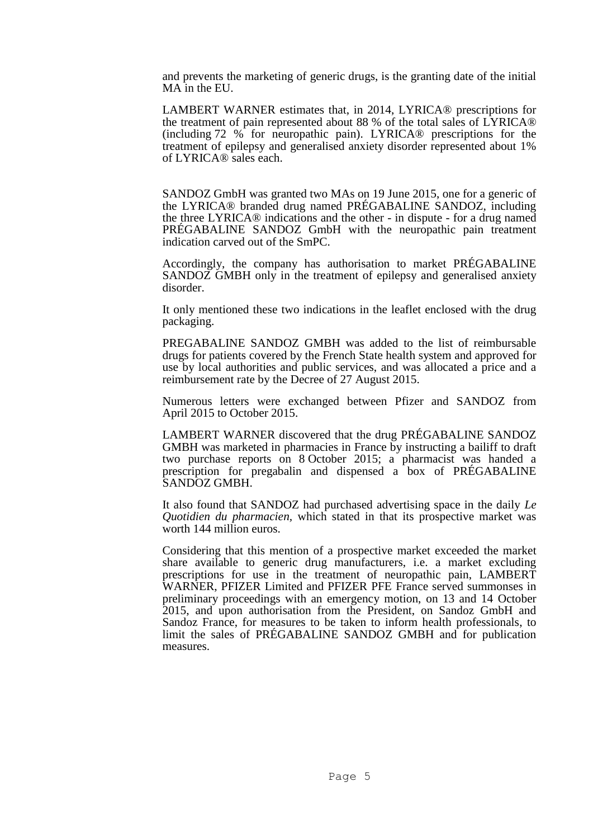and prevents the marketing of generic drugs, is the granting date of the initial MA in the EU.

LAMBERT WARNER estimates that, in 2014, LYRICA® prescriptions for the treatment of pain represented about 88 % of the total sales of LYRICA® (including 72 % for neuropathic pain). LYRICA® prescriptions for the treatment of epilepsy and generalised anxiety disorder represented about 1% of LYRICA® sales each.

SANDOZ GmbH was granted two MAs on 19 June 2015, one for a generic of the LYRICA® branded drug named PRÉGABALINE SANDOZ, including the three LYRICA® indications and the other - in dispute - for a drug named PRÉGABALINE SANDOZ GmbH with the neuropathic pain treatment indication carved out of the SmPC.

Accordingly, the company has authorisation to market PRÉGABALINE SANDOZ GMBH only in the treatment of epilepsy and generalised anxiety disorder.

It only mentioned these two indications in the leaflet enclosed with the drug packaging.

PREGABALINE SANDOZ GMBH was added to the list of reimbursable drugs for patients covered by the French State health system and approved for use by local authorities and public services, and was allocated a price and a reimbursement rate by the Decree of 27 August 2015.

Numerous letters were exchanged between Pfizer and SANDOZ from April 2015 to October 2015.

LAMBERT WARNER discovered that the drug PRÉGABALINE SANDOZ GMBH was marketed in pharmacies in France by instructing a bailiff to draft two purchase reports on 8 October 2015; a pharmacist was handed a prescription for pregabalin and dispensed a box of PRÉGABALINE SANDOZ GMBH.

It also found that SANDOZ had purchased advertising space in the daily *Le Quotidien du pharmacien,* which stated in that its prospective market was worth 144 million euros.

Considering that this mention of a prospective market exceeded the market share available to generic drug manufacturers, i.e. a market excluding prescriptions for use in the treatment of neuropathic pain, LAMBERT WARNER, PFIZER Limited and PFIZER PFE France served summonses in preliminary proceedings with an emergency motion, on 13 and 14 October 2015, and upon authorisation from the President, on Sandoz GmbH and Sandoz France, for measures to be taken to inform health professionals, to limit the sales of PRÉGABALINE SANDOZ GMBH and for publication measures.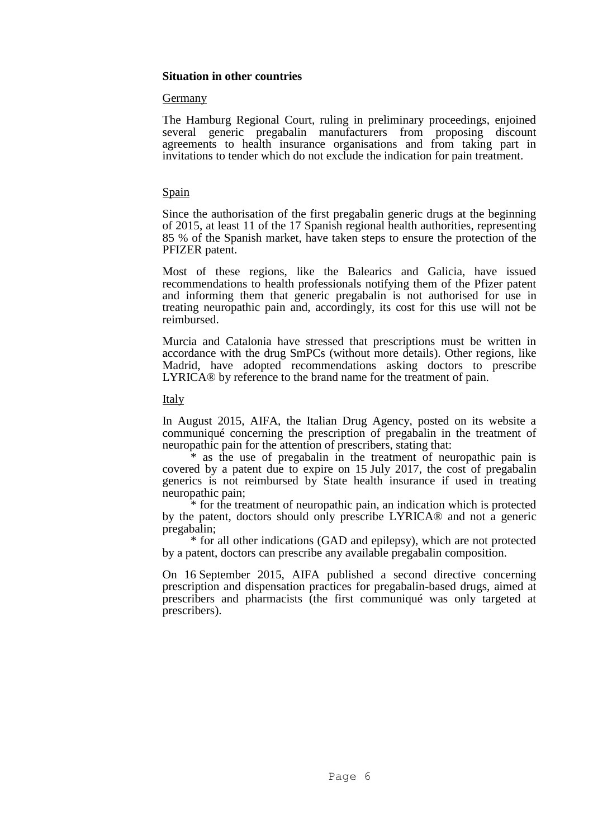## **Situation in other countries**

## Germany

The Hamburg Regional Court, ruling in preliminary proceedings, enjoined several generic pregabalin manufacturers from proposing discount agreements to health insurance organisations and from taking part in invitations to tender which do not exclude the indication for pain treatment.

## Spain

Since the authorisation of the first pregabalin generic drugs at the beginning of 2015, at least 11 of the 17 Spanish regional health authorities, representing 85 % of the Spanish market, have taken steps to ensure the protection of the PFIZER patent.

Most of these regions, like the Balearics and Galicia, have issued recommendations to health professionals notifying them of the Pfizer patent and informing them that generic pregabalin is not authorised for use in treating neuropathic pain and, accordingly, its cost for this use will not be reimbursed.

Murcia and Catalonia have stressed that prescriptions must be written in accordance with the drug SmPCs (without more details). Other regions, like Madrid, have adopted recommendations asking doctors to prescribe LYRICA® by reference to the brand name for the treatment of pain.

## **Italy**

In August 2015, AIFA, the Italian Drug Agency, posted on its website a communiqué concerning the prescription of pregabalin in the treatment of neuropathic pain for the attention of prescribers, stating that:

\* as the use of pregabalin in the treatment of neuropathic pain is covered by a patent due to expire on 15 July 2017, the cost of pregabalin generics is not reimbursed by State health insurance if used in treating neuropathic pain;

\* for the treatment of neuropathic pain, an indication which is protected by the patent, doctors should only prescribe LYRICA® and not a generic pregabalin;

\* for all other indications (GAD and epilepsy), which are not protected by a patent, doctors can prescribe any available pregabalin composition.

On 16 September 2015, AIFA published a second directive concerning prescription and dispensation practices for pregabalin-based drugs, aimed at prescribers and pharmacists (the first communiqué was only targeted at prescribers).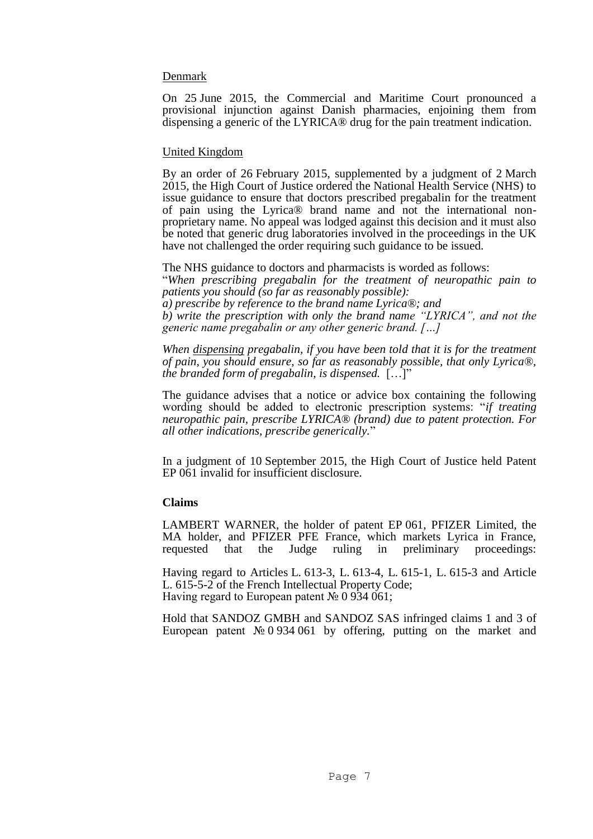## Denmark

On 25 June 2015, the Commercial and Maritime Court pronounced a provisional injunction against Danish pharmacies, enjoining them from dispensing a generic of the LYRICA® drug for the pain treatment indication.

## United Kingdom

By an order of 26 February 2015, supplemented by a judgment of 2 March 2015, the High Court of Justice ordered the National Health Service (NHS) to issue guidance to ensure that doctors prescribed pregabalin for the treatment of pain using the Lyrica® brand name and not the international nonproprietary name. No appeal was lodged against this decision and it must also be noted that generic drug laboratories involved in the proceedings in the UK have not challenged the order requiring such guidance to be issued.

The NHS guidance to doctors and pharmacists is worded as follows: "*When prescribing pregabalin for the treatment of neuropathic pain to patients you should (so far as reasonably possible): a) prescribe by reference to the brand name Lyrica®; and b) write the prescription with only the brand name "LYRICA", and not the generic name pregabalin or any other generic brand. […]* 

*When dispensing pregabalin, if you have been told that it is for the treatment of pain, you should ensure, so far as reasonably possible, that only Lyrica®, the branded form of pregabalin, is dispensed.* […]"

The guidance advises that a notice or advice box containing the following wording should be added to electronic prescription systems: "*if treating neuropathic pain, prescribe LYRICA® (brand) due to patent protection. For all other indications, prescribe generically.*"

In a judgment of 10 September 2015, the High Court of Justice held Patent EP 061 invalid for insufficient disclosure.

## **Claims**

LAMBERT WARNER, the holder of patent EP 061, PFIZER Limited, the MA holder, and PFIZER PFE France, which markets Lyrica in France, requested that the Judge ruling in preliminary proceedings:

Having regard to Articles L. 613-3, L. 613-4, L. 615-1, L. 615-3 and Article L. 615-5-2 of the French Intellectual Property Code; Having regard to European patent № 0 934 061;

Hold that SANDOZ GMBH and SANDOZ SAS infringed claims 1 and 3 of European patent № 0 934 061 by offering, putting on the market and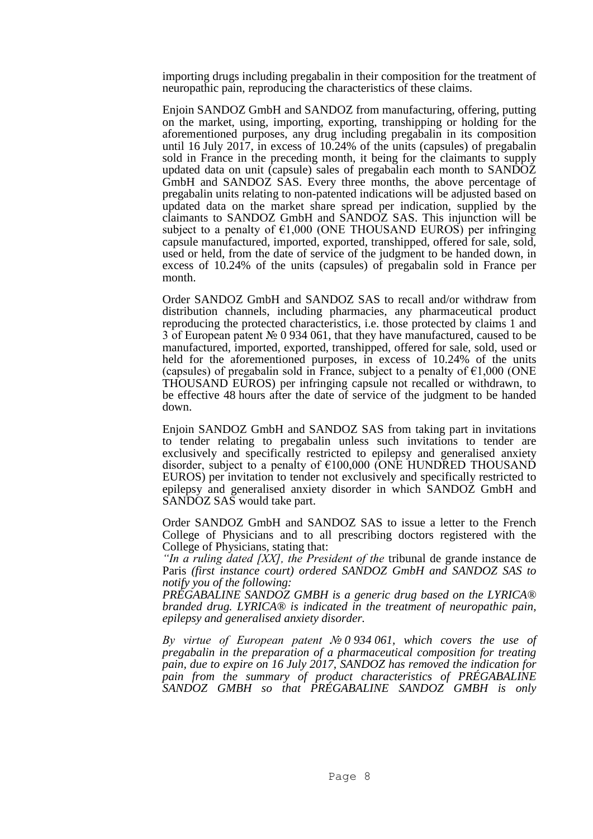importing drugs including pregabalin in their composition for the treatment of neuropathic pain, reproducing the characteristics of these claims.

Enjoin SANDOZ GmbH and SANDOZ from manufacturing, offering, putting on the market, using, importing, exporting, transhipping or holding for the aforementioned purposes, any drug including pregabalin in its composition until 16 July 2017, in excess of 10.24% of the units (capsules) of pregabalin sold in France in the preceding month, it being for the claimants to supply updated data on unit (capsule) sales of pregabalin each month to SANDOZ GmbH and SANDOZ SAS. Every three months, the above percentage of pregabalin units relating to non-patented indications will be adjusted based on updated data on the market share spread per indication, supplied by the claimants to SANDOZ GmbH and SANDOZ SAS. This injunction will be subject to a penalty of  $\epsilon$ 1,000 (ONE THOUSAND EUROS) per infringing capsule manufactured, imported, exported, transhipped, offered for sale, sold, used or held, from the date of service of the judgment to be handed down, in excess of 10.24% of the units (capsules) of pregabalin sold in France per month.

Order SANDOZ GmbH and SANDOZ SAS to recall and/or withdraw from distribution channels, including pharmacies, any pharmaceutical product reproducing the protected characteristics, i.e. those protected by claims 1 and 3 of European patent № 0 934 061, that they have manufactured, caused to be manufactured, imported, exported, transhipped, offered for sale, sold, used or held for the aforementioned purposes, in excess of 10.24% of the units (capsules) of pregabalin sold in France, subject to a penalty of  $\epsilon 1,000$  (ONE THOUSAND EUROS) per infringing capsule not recalled or withdrawn, to be effective 48 hours after the date of service of the judgment to be handed down.

Enjoin SANDOZ GmbH and SANDOZ SAS from taking part in invitations to tender relating to pregabalin unless such invitations to tender are exclusively and specifically restricted to epilepsy and generalised anxiety disorder, subject to a penalty of  $\epsilon$ 100,000 (ONE HUNDRED THOUSAND EUROS) per invitation to tender not exclusively and specifically restricted to epilepsy and generalised anxiety disorder in which SANDOZ GmbH and SANDOZ SAS would take part.

Order SANDOZ GmbH and SANDOZ SAS to issue a letter to the French College of Physicians and to all prescribing doctors registered with the College of Physicians, stating that:

*"In a ruling dated [XX], the President of the* tribunal de grande instance de Paris *(first instance court) ordered SANDOZ GmbH and SANDOZ SAS to notify you of the following:* 

*PRÉGABALINE SANDOZ GMBH is a generic drug based on the LYRICA® branded drug. LYRICA® is indicated in the treatment of neuropathic pain, epilepsy and generalised anxiety disorder.* 

*By virtue of European patent № 0 934 061, which covers the use of pregabalin in the preparation of a pharmaceutical composition for treating pain, due to expire on 16 July 2017, SANDOZ has removed the indication for pain from the summary of product characteristics of PRÉGABALINE SANDOZ GMBH so that PRÉGABALINE SANDOZ GMBH is only*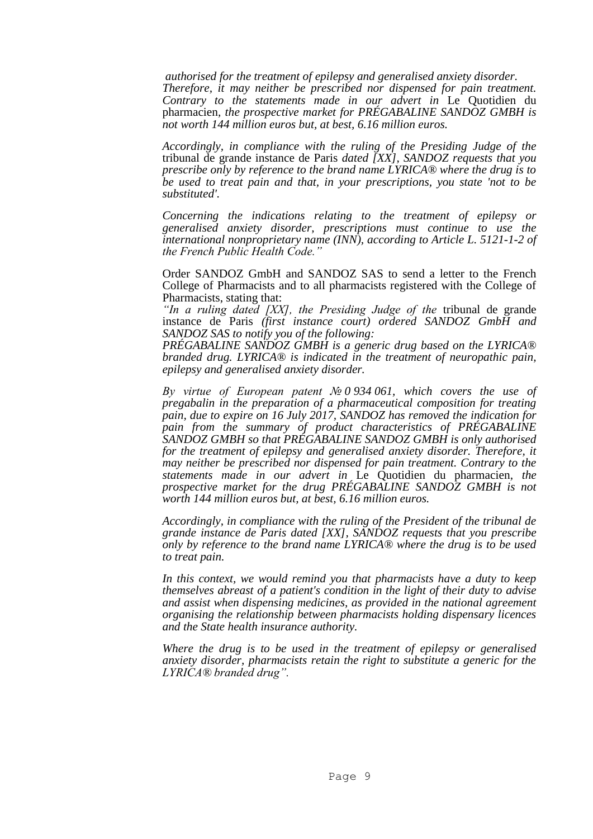*authorised for the treatment of epilepsy and generalised anxiety disorder. Therefore, it may neither be prescribed nor dispensed for pain treatment. Contrary to the statements made in our advert in* Le Quotidien du pharmacien*, the prospective market for PRÉGABALINE SANDOZ GMBH is not worth 144 million euros but, at best, 6.16 million euros.* 

*Accordingly, in compliance with the ruling of the Presiding Judge of the*  tribunal de grande instance de Paris *dated [XX], SANDOZ requests that you prescribe only by reference to the brand name LYRICA® where the drug is to be used to treat pain and that, in your prescriptions, you state 'not to be substituted'.* 

*Concerning the indications relating to the treatment of epilepsy or generalised anxiety disorder, prescriptions must continue to use the international nonproprietary name (INN), according to Article L. 5121-1-2 of the French Public Health Code."*

Order SANDOZ GmbH and SANDOZ SAS to send a letter to the French College of Pharmacists and to all pharmacists registered with the College of Pharmacists, stating that:

*"In a ruling dated [XX], the Presiding Judge of the* tribunal de grande instance de Paris *(first instance court) ordered SANDOZ GmbH and SANDOZ SAS to notify you of the following:* 

*PRÉGABALINE SANDOZ GMBH is a generic drug based on the LYRICA® branded drug. LYRICA® is indicated in the treatment of neuropathic pain, epilepsy and generalised anxiety disorder.* 

*By virtue of European patent № 0 934 061, which covers the use of pregabalin in the preparation of a pharmaceutical composition for treating pain, due to expire on 16 July 2017, SANDOZ has removed the indication for pain from the summary of product characteristics of PRÉGABALINE SANDOZ GMBH so that PRÉGABALINE SANDOZ GMBH is only authorised for the treatment of epilepsy and generalised anxiety disorder. Therefore, it may neither be prescribed nor dispensed for pain treatment. Contrary to the statements made in our advert in* Le Quotidien du pharmacien*, the prospective market for the drug PRÉGABALINE SANDOZ GMBH is not worth 144 million euros but, at best, 6.16 million euros.* 

*Accordingly, in compliance with the ruling of the President of the tribunal de grande instance de Paris dated [XX], SANDOZ requests that you prescribe only by reference to the brand name LYRICA® where the drug is to be used to treat pain.* 

*In this context, we would remind you that pharmacists have a duty to keep themselves abreast of a patient's condition in the light of their duty to advise and assist when dispensing medicines, as provided in the national agreement organising the relationship between pharmacists holding dispensary licences and the State health insurance authority.* 

*Where the drug is to be used in the treatment of epilepsy or generalised anxiety disorder, pharmacists retain the right to substitute a generic for the LYRICA® branded drug".*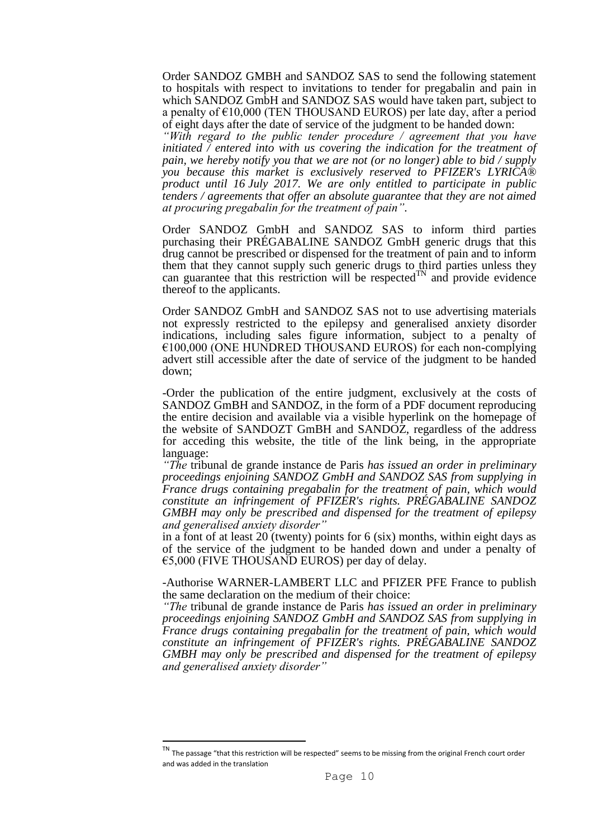Order SANDOZ GMBH and SANDOZ SAS to send the following statement to hospitals with respect to invitations to tender for pregabalin and pain in which SANDOZ GmbH and SANDOZ SAS would have taken part, subject to a penalty of  $E10,000$  (TEN THOUSAND EUROS) per late day, after a period of eight days after the date of service of the judgment to be handed down:

*"With regard to the public tender procedure / agreement that you have initiated / entered into with us covering the indication for the treatment of pain, we hereby notify you that we are not (or no longer) able to bid / supply you because this market is exclusively reserved to PFIZER's LYRICA® product until 16 July 2017. We are only entitled to participate in public tenders / agreements that offer an absolute guarantee that they are not aimed at procuring pregabalin for the treatment of pain".*

Order SANDOZ GmbH and SANDOZ SAS to inform third parties purchasing their PRÉGABALINE SANDOZ GmbH generic drugs that this drug cannot be prescribed or dispensed for the treatment of pain and to inform them that they cannot supply such generic drugs to third parties unless they can guarantee that this restriction will be respected $^{TN}$  and provide evidence thereof to the applicants.

Order SANDOZ GmbH and SANDOZ SAS not to use advertising materials not expressly restricted to the epilepsy and generalised anxiety disorder indications, including sales figure information, subject to a penalty of  $€100,000$  (ONE HUNDRED THOUSAND EUROS) for each non-complying advert still accessible after the date of service of the judgment to be handed down;

-Order the publication of the entire judgment, exclusively at the costs of SANDOZ GmBH and SANDOZ, in the form of a PDF document reproducing the entire decision and available via a visible hyperlink on the homepage of the website of SANDOZT GmBH and SANDOZ, regardless of the address for acceding this website, the title of the link being, in the appropriate language:

*"The* tribunal de grande instance de Paris *has issued an order in preliminary proceedings enjoining SANDOZ GmbH and SANDOZ SAS from supplying in France drugs containing pregabalin for the treatment of pain, which would constitute an infringement of PFIZER's rights. PRÉGABALINE SANDOZ GMBH may only be prescribed and dispensed for the treatment of epilepsy and generalised anxiety disorder"*

in a font of at least 20 (twenty) points for 6 (six) months, within eight days as of the service of the judgment to be handed down and under a penalty of €5,000 (FIVE THOUSAND EUROS) per day of delay.

-Authorise WARNER-LAMBERT LLC and PFIZER PFE France to publish the same declaration on the medium of their choice:

*"The* tribunal de grande instance de Paris *has issued an order in preliminary proceedings enjoining SANDOZ GmbH and SANDOZ SAS from supplying in France drugs containing pregabalin for the treatment of pain, which would constitute an infringement of PFIZER's rights. PRÉGABALINE SANDOZ GMBH may only be prescribed and dispensed for the treatment of epilepsy and generalised anxiety disorder"*

TN The passage "that this restriction will be respected" seems to be missing from the original French court order and was added in the translation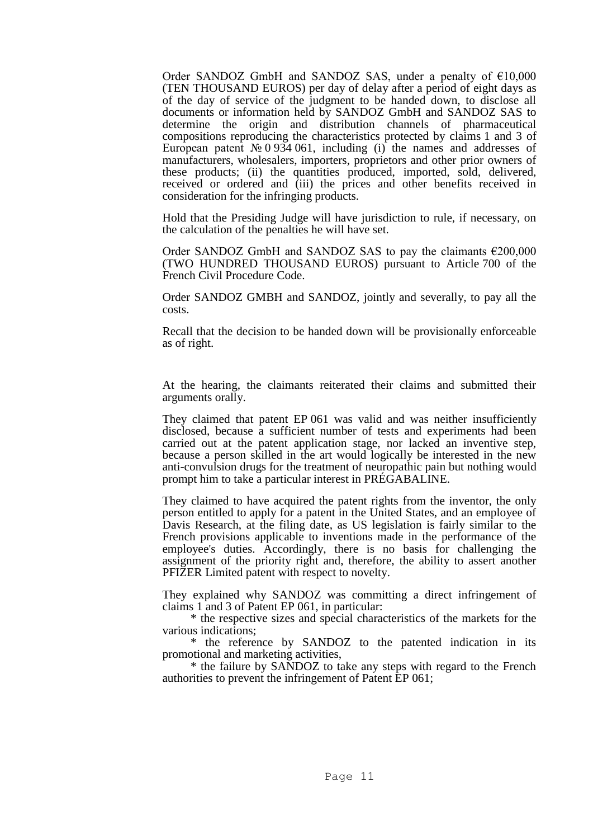Order SANDOZ GmbH and SANDOZ SAS, under a penalty of €10,000 (TEN THOUSAND EUROS) per day of delay after a period of eight days as of the day of service of the judgment to be handed down, to disclose all documents or information held by SANDOZ GmbH and SANDOZ SAS to determine the origin and distribution channels of pharmaceutical compositions reproducing the characteristics protected by claims 1 and 3 of European patent  $\mathcal{N}$  0 934 061, including (i) the names and addresses of manufacturers, wholesalers, importers, proprietors and other prior owners of these products; (ii) the quantities produced, imported, sold, delivered, received or ordered and (iii) the prices and other benefits received in consideration for the infringing products.

Hold that the Presiding Judge will have jurisdiction to rule, if necessary, on the calculation of the penalties he will have set.

Order SANDOZ GmbH and SANDOZ SAS to pay the claimants  $\epsilon$ 200,000 (TWO HUNDRED THOUSAND EUROS) pursuant to Article 700 of the French Civil Procedure Code.

Order SANDOZ GMBH and SANDOZ, jointly and severally, to pay all the costs.

Recall that the decision to be handed down will be provisionally enforceable as of right.

At the hearing, the claimants reiterated their claims and submitted their arguments orally.

They claimed that patent EP 061 was valid and was neither insufficiently disclosed, because a sufficient number of tests and experiments had been carried out at the patent application stage, nor lacked an inventive step, because a person skilled in the art would logically be interested in the new anti-convulsion drugs for the treatment of neuropathic pain but nothing would prompt him to take a particular interest in PRÉGABALINE.

They claimed to have acquired the patent rights from the inventor, the only person entitled to apply for a patent in the United States, and an employee of Davis Research, at the filing date, as US legislation is fairly similar to the French provisions applicable to inventions made in the performance of the employee's duties. Accordingly, there is no basis for challenging the assignment of the priority right and, therefore, the ability to assert another PFIZER Limited patent with respect to novelty.

They explained why SANDOZ was committing a direct infringement of claims 1 and 3 of Patent EP 061, in particular:

\* the respective sizes and special characteristics of the markets for the various indications;

\* the reference by SANDOZ to the patented indication in its promotional and marketing activities,

\* the failure by SANDOZ to take any steps with regard to the French authorities to prevent the infringement of Patent EP 061;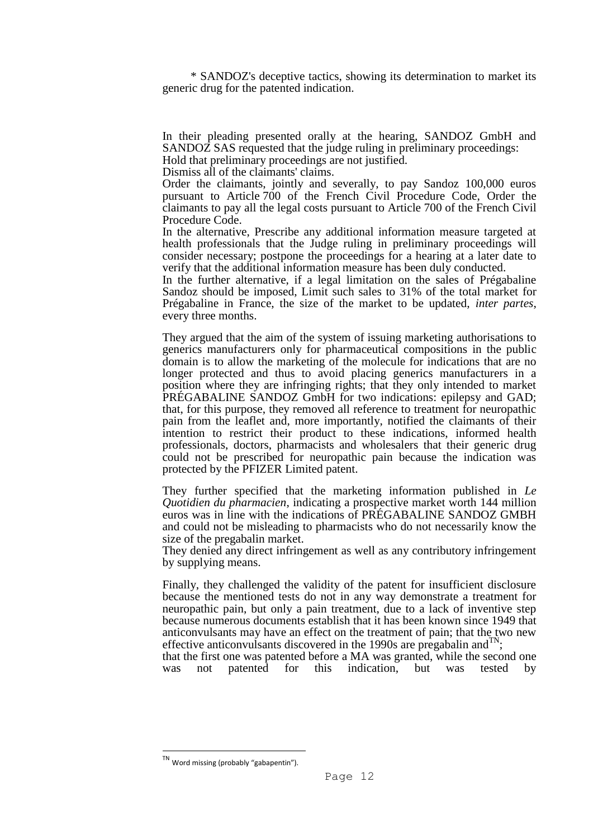\* SANDOZ's deceptive tactics, showing its determination to market its generic drug for the patented indication.

In their pleading presented orally at the hearing, SANDOZ GmbH and SANDOZ SAS requested that the judge ruling in preliminary proceedings: Hold that preliminary proceedings are not justified.

Dismiss all of the claimants' claims.

Order the claimants, jointly and severally, to pay Sandoz 100,000 euros pursuant to Article 700 of the French Civil Procedure Code, Order the claimants to pay all the legal costs pursuant to Article 700 of the French Civil Procedure Code.

In the alternative, Prescribe any additional information measure targeted at health professionals that the Judge ruling in preliminary proceedings will consider necessary; postpone the proceedings for a hearing at a later date to verify that the additional information measure has been duly conducted.

In the further alternative, if a legal limitation on the sales of Prégabaline Sandoz should be imposed, Limit such sales to 31% of the total market for Prégabaline in France, the size of the market to be updated, *inter partes*, every three months.

They argued that the aim of the system of issuing marketing authorisations to generics manufacturers only for pharmaceutical compositions in the public domain is to allow the marketing of the molecule for indications that are no longer protected and thus to avoid placing generics manufacturers in a position where they are infringing rights; that they only intended to market PRÉGABALINE SANDOZ GmbH for two indications: epilepsy and GAD; that, for this purpose, they removed all reference to treatment for neuropathic pain from the leaflet and, more importantly, notified the claimants of their intention to restrict their product to these indications, informed health professionals, doctors, pharmacists and wholesalers that their generic drug could not be prescribed for neuropathic pain because the indication was protected by the PFIZER Limited patent.

They further specified that the marketing information published in *Le Quotidien du pharmacien*, indicating a prospective market worth 144 million euros was in line with the indications of PRÉGABALINE SANDOZ GMBH and could not be misleading to pharmacists who do not necessarily know the size of the pregabalin market.

They denied any direct infringement as well as any contributory infringement by supplying means.

Finally, they challenged the validity of the patent for insufficient disclosure because the mentioned tests do not in any way demonstrate a treatment for neuropathic pain, but only a pain treatment, due to a lack of inventive step because numerous documents establish that it has been known since 1949 that anticonvulsants may have an effect on the treatment of pain; that the two new effective anticonvulsants discovered in the 1990s are pregabalin and  $\overline{N}$ ;

that the first one was patented before a MA was granted, while the second one was not patented for this indication, but was tested by

Word missing (probably "gabapentin").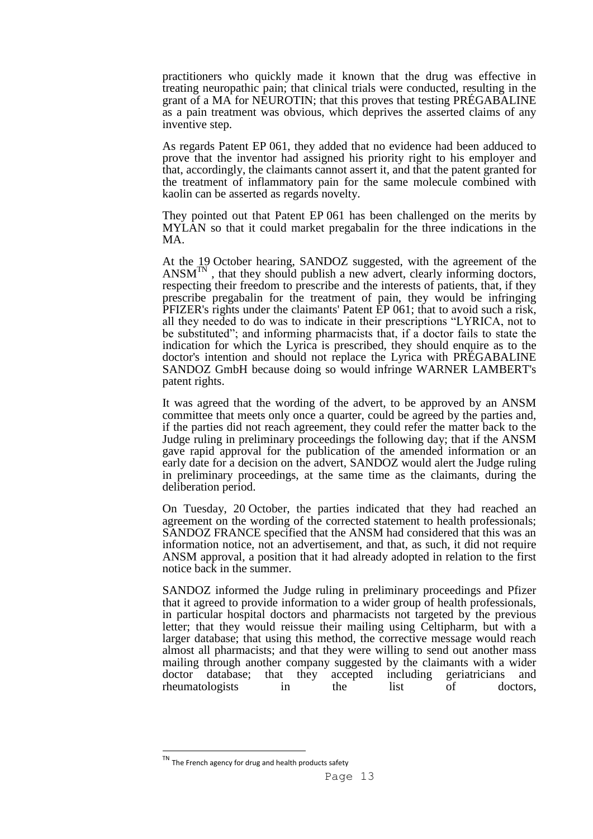practitioners who quickly made it known that the drug was effective in treating neuropathic pain; that clinical trials were conducted, resulting in the grant of a MA for NEUROTIN; that this proves that testing PRÉGABALINE as a pain treatment was obvious, which deprives the asserted claims of any inventive step.

As regards Patent EP 061, they added that no evidence had been adduced to prove that the inventor had assigned his priority right to his employer and that, accordingly, the claimants cannot assert it, and that the patent granted for the treatment of inflammatory pain for the same molecule combined with kaolin can be asserted as regards novelty.

They pointed out that Patent EP 061 has been challenged on the merits by MYLAN so that it could market pregabalin for the three indications in the MA.

At the 19 October hearing, SANDOZ suggested, with the agreement of the  $ANSM<sup>TN</sup>$ , that they should publish a new advert, clearly informing doctors, respecting their freedom to prescribe and the interests of patients, that, if they prescribe pregabalin for the treatment of pain, they would be infringing PFIZER's rights under the claimants' Patent EP 061; that to avoid such a risk, all they needed to do was to indicate in their prescriptions "LYRICA, not to be substituted"; and informing pharmacists that, if a doctor fails to state the indication for which the Lyrica is prescribed, they should enquire as to the doctor's intention and should not replace the Lyrica with PRÉGABALINE SANDOZ GmbH because doing so would infringe WARNER LAMBERT's patent rights.

It was agreed that the wording of the advert, to be approved by an ANSM committee that meets only once a quarter, could be agreed by the parties and, if the parties did not reach agreement, they could refer the matter back to the Judge ruling in preliminary proceedings the following day; that if the ANSM gave rapid approval for the publication of the amended information or an early date for a decision on the advert, SANDOZ would alert the Judge ruling in preliminary proceedings, at the same time as the claimants, during the deliberation period.

On Tuesday, 20 October, the parties indicated that they had reached an agreement on the wording of the corrected statement to health professionals; SANDOZ FRANCE specified that the ANSM had considered that this was an information notice, not an advertisement, and that, as such, it did not require ANSM approval, a position that it had already adopted in relation to the first notice back in the summer.

SANDOZ informed the Judge ruling in preliminary proceedings and Pfizer that it agreed to provide information to a wider group of health professionals, in particular hospital doctors and pharmacists not targeted by the previous letter; that they would reissue their mailing using Celtipharm, but with a larger database; that using this method, the corrective message would reach almost all pharmacists; and that they were willing to send out another mass mailing through another company suggested by the claimants with a wider doctor database; that they accepted including geriatricians and rheumatologists in the list of doctors,

The French agency for drug and health products safety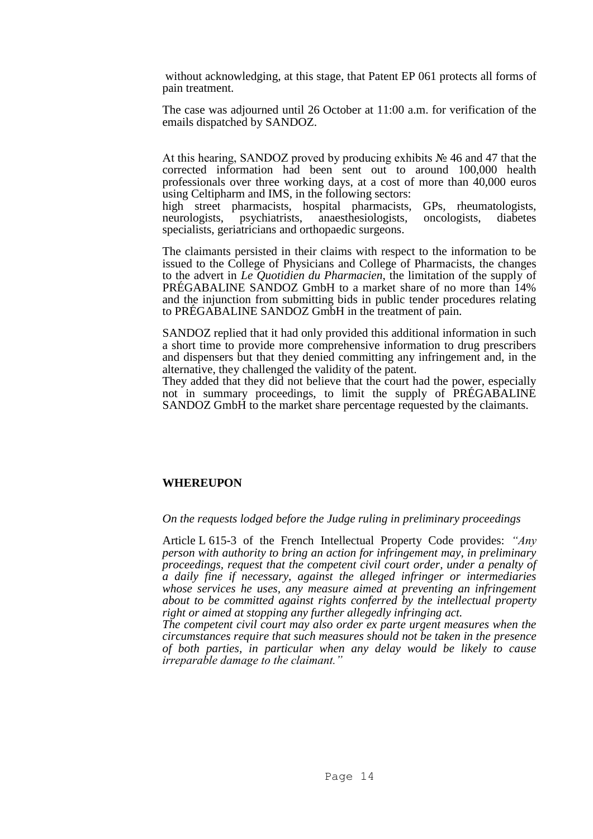without acknowledging, at this stage, that Patent EP 061 protects all forms of pain treatment.

The case was adjourned until 26 October at 11:00 a.m. for verification of the emails dispatched by SANDOZ.

At this hearing, SANDOZ proved by producing exhibits № 46 and 47 that the corrected information had been sent out to around 100,000 health professionals over three working days, at a cost of more than 40,000 euros using Celtipharm and IMS, in the following sectors:

high street pharmacists, hospital pharmacists, GPs, rheumatologists, neurologists, psychiatrists, anaesthesiologists, oncologists, diabetes specialists, geriatricians and orthopaedic surgeons.

The claimants persisted in their claims with respect to the information to be issued to the College of Physicians and College of Pharmacists, the changes to the advert in *Le Quotidien du Pharmacien*, the limitation of the supply of PRÉGABALINE SANDOZ GmbH to a market share of no more than 14% and the injunction from submitting bids in public tender procedures relating to PRÉGABALINE SANDOZ GmbH in the treatment of pain.

SANDOZ replied that it had only provided this additional information in such a short time to provide more comprehensive information to drug prescribers and dispensers but that they denied committing any infringement and, in the alternative, they challenged the validity of the patent.

They added that they did not believe that the court had the power, especially not in summary proceedings, to limit the supply of PRÉGABALINE SANDOZ GmbH to the market share percentage requested by the claimants.

## **WHEREUPON**

*On the requests lodged before the Judge ruling in preliminary proceedings* 

Article L 615-3 of the French Intellectual Property Code provides: *"Any person with authority to bring an action for infringement may, in preliminary proceedings, request that the competent civil court order, under a penalty of a daily fine if necessary, against the alleged infringer or intermediaries whose services he uses, any measure aimed at preventing an infringement about to be committed against rights conferred by the intellectual property right or aimed at stopping any further allegedly infringing act.* 

*The competent civil court may also order ex parte urgent measures when the circumstances require that such measures should not be taken in the presence of both parties, in particular when any delay would be likely to cause irreparable damage to the claimant."*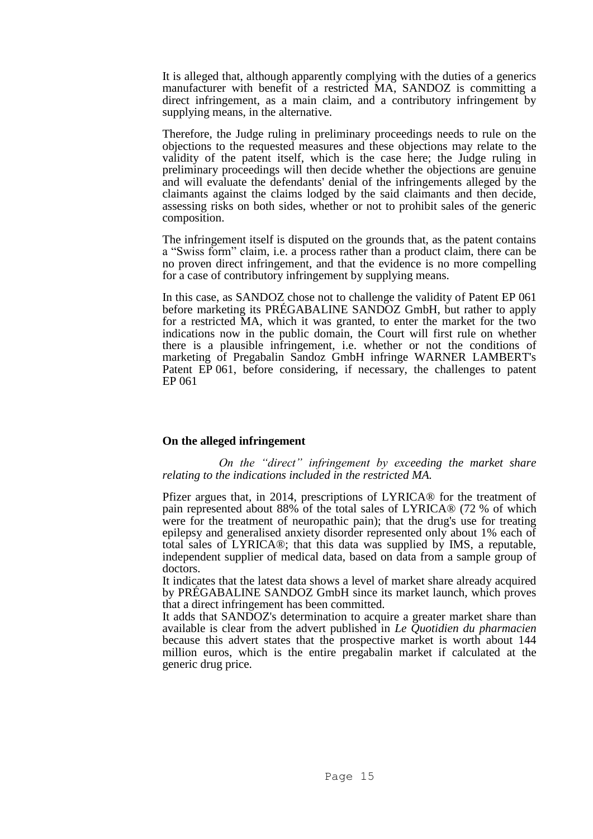It is alleged that, although apparently complying with the duties of a generics manufacturer with benefit of a restricted MA, SANDOZ is committing a direct infringement, as a main claim, and a contributory infringement by supplying means, in the alternative.

Therefore, the Judge ruling in preliminary proceedings needs to rule on the objections to the requested measures and these objections may relate to the validity of the patent itself, which is the case here; the Judge ruling in preliminary proceedings will then decide whether the objections are genuine and will evaluate the defendants' denial of the infringements alleged by the claimants against the claims lodged by the said claimants and then decide, assessing risks on both sides, whether or not to prohibit sales of the generic composition.

The infringement itself is disputed on the grounds that, as the patent contains a "Swiss form" claim, i.e. a process rather than a product claim, there can be no proven direct infringement, and that the evidence is no more compelling for a case of contributory infringement by supplying means.

In this case, as SANDOZ chose not to challenge the validity of Patent EP 061 before marketing its PRÉGABALINE SANDOZ GmbH, but rather to apply for a restricted MA, which it was granted, to enter the market for the two indications now in the public domain, the Court will first rule on whether there is a plausible infringement, i.e. whether or not the conditions of marketing of Pregabalin Sandoz GmbH infringe WARNER LAMBERT's Patent EP 061, before considering, if necessary, the challenges to patent EP 061

## **On the alleged infringement**

*On the "direct" infringement by exceeding the market share relating to the indications included in the restricted MA.* 

Pfizer argues that, in 2014, prescriptions of LYRICA® for the treatment of pain represented about 88% of the total sales of LYRICA® (72 % of which were for the treatment of neuropathic pain); that the drug's use for treating epilepsy and generalised anxiety disorder represented only about 1% each of total sales of LYRICA®; that this data was supplied by IMS, a reputable, independent supplier of medical data, based on data from a sample group of doctors.

It indicates that the latest data shows a level of market share already acquired by PRÉGABALINE SANDOZ GmbH since its market launch, which proves that a direct infringement has been committed.

It adds that SANDOZ's determination to acquire a greater market share than available is clear from the advert published in *Le Quotidien du pharmacien* because this advert states that the prospective market is worth about 144 million euros, which is the entire pregabalin market if calculated at the generic drug price.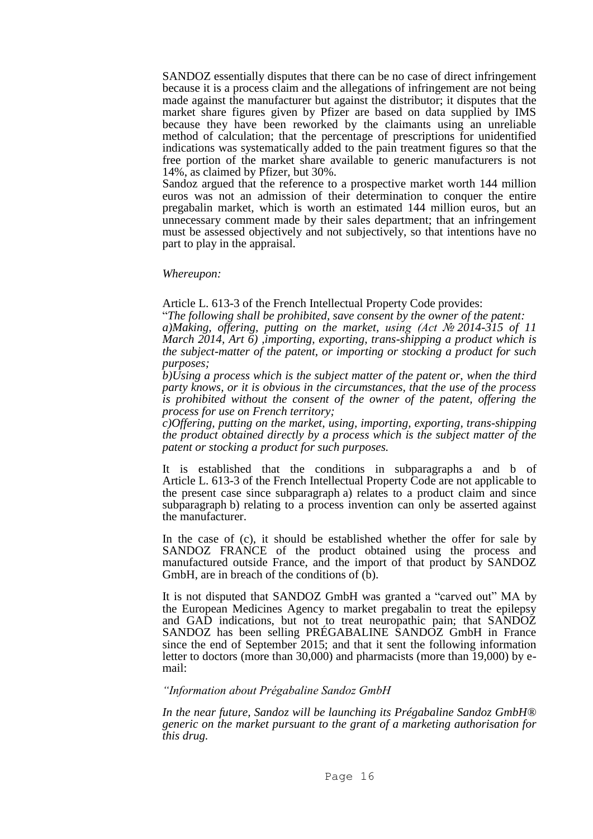SANDOZ essentially disputes that there can be no case of direct infringement because it is a process claim and the allegations of infringement are not being made against the manufacturer but against the distributor; it disputes that the market share figures given by Pfizer are based on data supplied by IMS because they have been reworked by the claimants using an unreliable method of calculation; that the percentage of prescriptions for unidentified indications was systematically added to the pain treatment figures so that the free portion of the market share available to generic manufacturers is not 14%, as claimed by Pfizer, but 30%.

Sandoz argued that the reference to a prospective market worth 144 million euros was not an admission of their determination to conquer the entire pregabalin market, which is worth an estimated 144 million euros, but an unnecessary comment made by their sales department; that an infringement must be assessed objectively and not subjectively, so that intentions have no part to play in the appraisal.

*Whereupon:* 

Article L. 613-3 of the French Intellectual Property Code provides:

"*The following shall be prohibited, save consent by the owner of the patent: a)Making, offering, putting on the market, using (Act № 2014-315 of 11 March 2014, Art 6) ,importing, exporting, trans-shipping a product which is the subject-matter of the patent, or importing or stocking a product for such purposes;* 

*b)Using a process which is the subject matter of the patent or, when the third party knows, or it is obvious in the circumstances, that the use of the process is prohibited without the consent of the owner of the patent, offering the process for use on French territory;* 

*c)Offering, putting on the market, using, importing, exporting, trans-shipping the product obtained directly by a process which is the subject matter of the patent or stocking a product for such purposes.* 

It is established that the conditions in subparagraphs a and b of Article L. 613-3 of the French Intellectual Property Code are not applicable to the present case since subparagraph a) relates to a product claim and since subparagraph b) relating to a process invention can only be asserted against the manufacturer.

In the case of (c), it should be established whether the offer for sale by SANDOZ FRANCE of the product obtained using the process and manufactured outside France, and the import of that product by SANDOZ GmbH, are in breach of the conditions of  $(b)$ .

It is not disputed that SANDOZ GmbH was granted a "carved out" MA by the European Medicines Agency to market pregabalin to treat the epilepsy and GAD indications, but not to treat neuropathic pain; that SANDOZ SANDOZ has been selling PRÉGABALINE SANDOZ GmbH in France since the end of September 2015; and that it sent the following information letter to doctors (more than 30,000) and pharmacists (more than 19,000) by email:

#### *"Information about Prégabaline Sandoz GmbH*

*In the near future, Sandoz will be launching its Prégabaline Sandoz GmbH® generic on the market pursuant to the grant of a marketing authorisation for this drug.*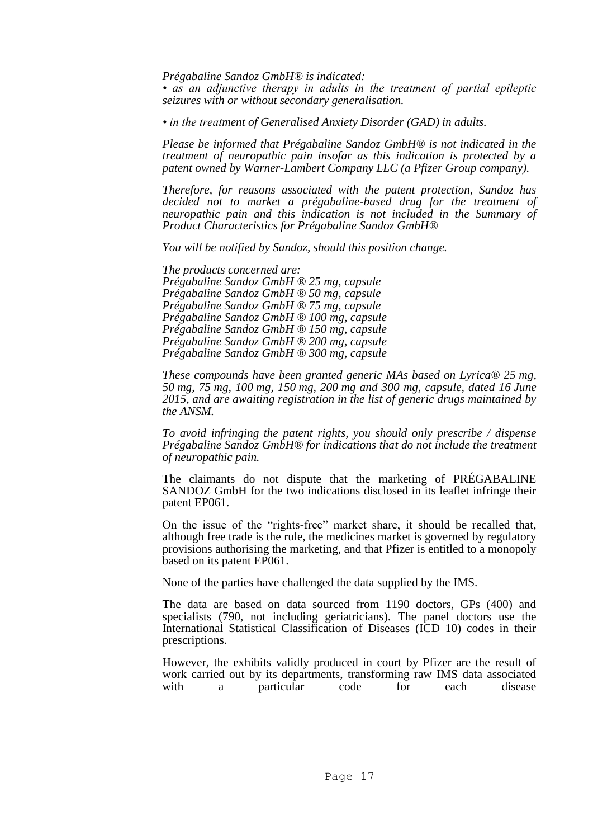*Prégabaline Sandoz GmbH® is indicated:* 

*• as an adjunctive therapy in adults in the treatment of partial epileptic seizures with or without secondary generalisation.* 

*• in the treatment of Generalised Anxiety Disorder (GAD) in adults.* 

*Please be informed that Prégabaline Sandoz GmbH® is not indicated in the treatment of neuropathic pain insofar as this indication is protected by a patent owned by Warner-Lambert Company LLC (a Pfizer Group company).* 

*Therefore, for reasons associated with the patent protection, Sandoz has decided not to market a prégabaline-based drug for the treatment of neuropathic pain and this indication is not included in the Summary of Product Characteristics for Prégabaline Sandoz GmbH®* 

*You will be notified by Sandoz, should this position change.* 

*The products concerned are: Prégabaline Sandoz GmbH ® 25 mg, capsule Prégabaline Sandoz GmbH ® 50 mg, capsule Prégabaline Sandoz GmbH ® 75 mg, capsule Prégabaline Sandoz GmbH ® 100 mg, capsule Prégabaline Sandoz GmbH ® 150 mg, capsule Prégabaline Sandoz GmbH ® 200 mg, capsule Prégabaline Sandoz GmbH ® 300 mg, capsule* 

*These compounds have been granted generic MAs based on Lyrica® 25 mg, 50 mg, 75 mg, 100 mg, 150 mg, 200 mg and 300 mg, capsule, dated 16 June 2015, and are awaiting registration in the list of generic drugs maintained by the ANSM.* 

*To avoid infringing the patent rights, you should only prescribe / dispense Prégabaline Sandoz GmbH® for indications that do not include the treatment of neuropathic pain.* 

The claimants do not dispute that the marketing of PRÉGABALINE SANDOZ GmbH for the two indications disclosed in its leaflet infringe their patent EP061.

On the issue of the "rights-free" market share, it should be recalled that, although free trade is the rule, the medicines market is governed by regulatory provisions authorising the marketing, and that Pfizer is entitled to a monopoly based on its patent EP061.

None of the parties have challenged the data supplied by the IMS.

The data are based on data sourced from 1190 doctors, GPs (400) and specialists (790, not including geriatricians). The panel doctors use the International Statistical Classification of Diseases (ICD 10) codes in their prescriptions.

However, the exhibits validly produced in court by Pfizer are the result of work carried out by its departments, transforming raw IMS data associated with a particular code for each disease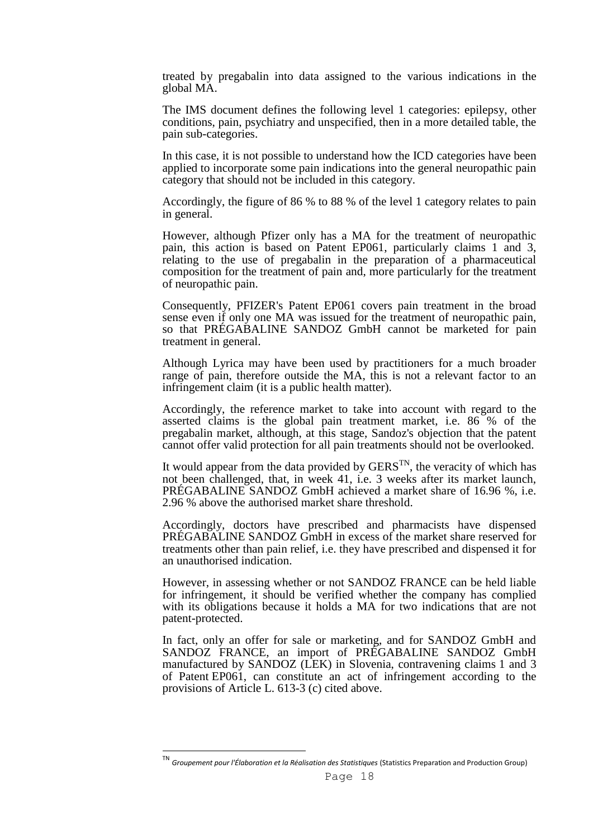treated by pregabalin into data assigned to the various indications in the global MA.

The IMS document defines the following level 1 categories: epilepsy, other conditions, pain, psychiatry and unspecified, then in a more detailed table, the pain sub-categories.

In this case, it is not possible to understand how the ICD categories have been applied to incorporate some pain indications into the general neuropathic pain category that should not be included in this category.

Accordingly, the figure of 86 % to 88 % of the level 1 category relates to pain in general.

However, although Pfizer only has a MA for the treatment of neuropathic pain, this action is based on Patent EP061, particularly claims 1 and 3, relating to the use of pregabalin in the preparation of a pharmaceutical composition for the treatment of pain and, more particularly for the treatment of neuropathic pain.

Consequently, PFIZER's Patent EP061 covers pain treatment in the broad sense even if only one MA was issued for the treatment of neuropathic pain, so that PRÉGABALINE SANDOZ GmbH cannot be marketed for pain treatment in general.

Although Lyrica may have been used by practitioners for a much broader range of pain, therefore outside the MA, this is not a relevant factor to an infringement claim (it is a public health matter).

Accordingly, the reference market to take into account with regard to the asserted claims is the global pain treatment market, i.e. 86 % of the pregabalin market, although, at this stage, Sandoz's objection that the patent cannot offer valid protection for all pain treatments should not be overlooked.

It would appear from the data provided by  $GERS^{TN}$ , the veracity of which has not been challenged, that, in week 41, i.e. 3 weeks after its market launch, PRÉGABALINE SANDOZ GmbH achieved a market share of 16.96 %, i.e. 2.96 % above the authorised market share threshold.

Accordingly, doctors have prescribed and pharmacists have dispensed PRÉGABALINE SANDOZ GmbH in excess of the market share reserved for treatments other than pain relief, i.e. they have prescribed and dispensed it for an unauthorised indication.

However, in assessing whether or not SANDOZ FRANCE can be held liable for infringement, it should be verified whether the company has complied with its obligations because it holds a MA for two indications that are not patent-protected.

In fact, only an offer for sale or marketing, and for SANDOZ GmbH and SANDOZ FRANCE, an import of PRÉGABALINE SANDOZ GmbH manufactured by SANDOZ (LEK) in Slovenia, contravening claims 1 and 3 of Patent EP061, can constitute an act of infringement according to the provisions of Article L. 613-3 (c) cited above.

Groupement pour l'Élaboration et la Réalisation des Statistiques (Statistics Preparation and Production Group)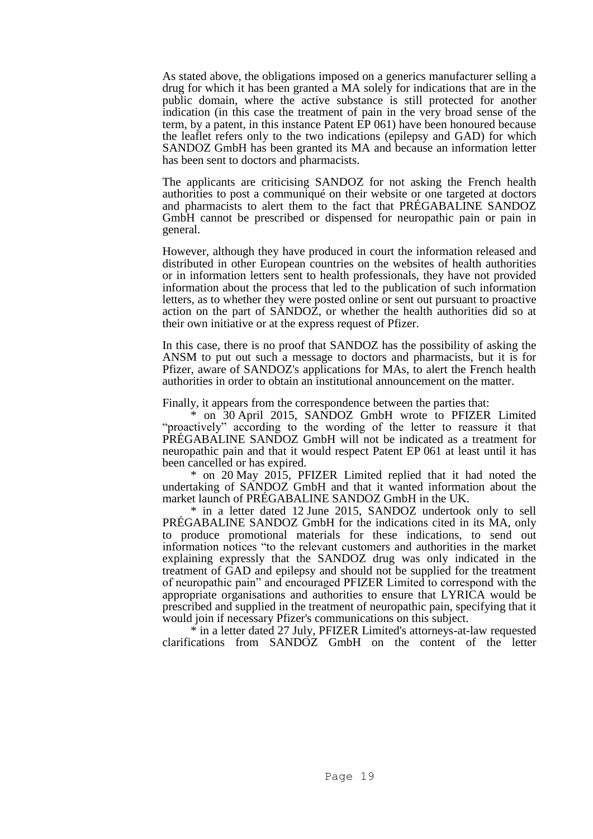As stated above, the obligations imposed on a generics manufacturer selling a drug for which it has been granted a MA solely for indications that are in the public domain, where the active substance is still protected for another indication (in this case the treatment of pain in the very broad sense of the term, by a patent, in this instance Patent EP 061) have been honoured because the leaflet refers only to the two indications (epilepsy and GAD) for which SANDOZ GmbH has been granted its MA and because an information letter has been sent to doctors and pharmacists.

The applicants are criticising SANDOZ for not asking the French health authorities to post a communiqué on their website or one targeted at doctors and pharmacists to alert them to the fact that PRÉGABALINE SANDOZ GmbH cannot be prescribed or dispensed for neuropathic pain or pain in general.

However, although they have produced in court the information released and distributed in other European countries on the websites of health authorities or in information letters sent to health professionals, they have not provided information about the process that led to the publication of such information letters, as to whether they were posted online or sent out pursuant to proactive action on the part of SANDOZ, or whether the health authorities did so at their own initiative or at the express request of Pfizer.

In this case, there is no proof that SANDOZ has the possibility of asking the ANSM to put out such a message to doctors and pharmacists, but it is for Pfizer, aware of SANDOZ's applications for MAs, to alert the French health authorities in order to obtain an institutional announcement on the matter.

Finally, it appears from the correspondence between the parties that:

\* on 30 April 2015, SANDOZ GmbH wrote to PFIZER Limited "proactively" according to the wording of the letter to reassure it that PRÉGABALINE SANDOZ GmbH will not be indicated as a treatment for neuropathic pain and that it would respect Patent EP 061 at least until it has been cancelled or has expired.

\* on 20 May 2015, PFIZER Limited replied that it had noted the undertaking of SANDOZ GmbH and that it wanted information about the market launch of PRÉGABALINE SANDOZ GmbH in the UK.

\* in a letter dated 12 June 2015, SANDOZ undertook only to sell PRÉGABALINE SANDOZ GmbH for the indications cited in its MA, only to produce promotional materials for these indications, to send out information notices "to the relevant customers and authorities in the market explaining expressly that the SANDOZ drug was only indicated in the treatment of GAD and epilepsy and should not be supplied for the treatment of neuropathic pain" and encouraged PFIZER Limited to correspond with the appropriate organisations and authorities to ensure that LYRICA would be prescribed and supplied in the treatment of neuropathic pain, specifying that it would join if necessary Pfizer's communications on this subject.

\* in a letter dated 27 July, PFIZER Limited's attorneys-at-law requested clarifications from SANDOZ GmbH on the content of the letter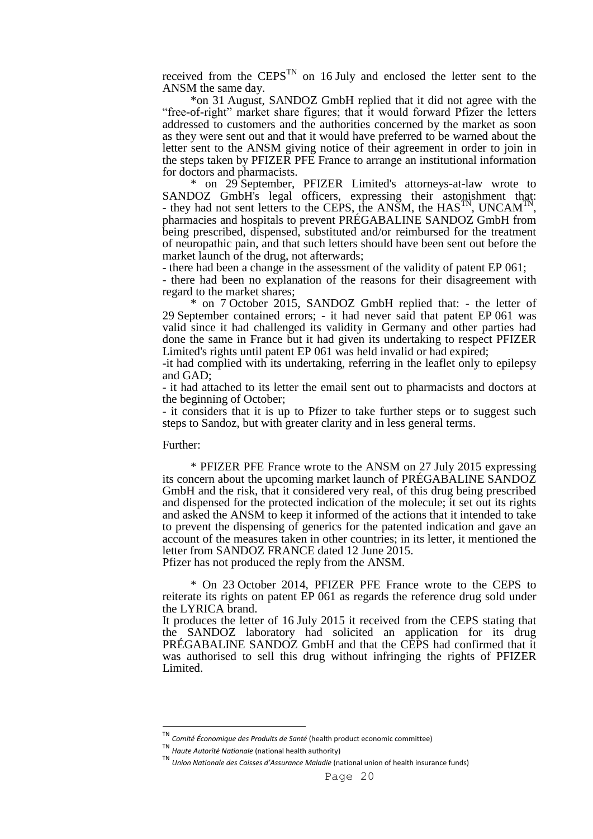received from the  $CEPS^{TN}$  on 16 July and enclosed the letter sent to the ANSM the same day.

\*on 31 August, SANDOZ GmbH replied that it did not agree with the "free-of-right" market share figures; that it would forward Pfizer the letters addressed to customers and the authorities concerned by the market as soon as they were sent out and that it would have preferred to be warned about the letter sent to the ANSM giving notice of their agreement in order to join in the steps taken by PFIZER PFE France to arrange an institutional information for doctors and pharmacists.

\* on 29 September, PFIZER Limited's attorneys-at-law wrote to SANDOZ GmbH<sup>T</sup>s legal officers, expressing their astonishment that: - they had not sent letters to the CEPS, the ANSM, the  $HAS^{TN}$ , UNCAM<sup>TN</sup>, pharmacies and hospitals to prevent PRÉGABALINE SANDOZ GmbH from being prescribed, dispensed, substituted and/or reimbursed for the treatment of neuropathic pain, and that such letters should have been sent out before the market launch of the drug, not afterwards;

- there had been a change in the assessment of the validity of patent EP 061;

- there had been no explanation of the reasons for their disagreement with regard to the market shares;

\* on 7 October 2015, SANDOZ GmbH replied that: - the letter of 29 September contained errors; - it had never said that patent EP 061 was valid since it had challenged its validity in Germany and other parties had done the same in France but it had given its undertaking to respect PFIZER Limited's rights until patent EP 061 was held invalid or had expired;

-it had complied with its undertaking, referring in the leaflet only to epilepsy and GAD;

- it had attached to its letter the email sent out to pharmacists and doctors at the beginning of October;

- it considers that it is up to Pfizer to take further steps or to suggest such steps to Sandoz, but with greater clarity and in less general terms.

Further:

**.** 

\* PFIZER PFE France wrote to the ANSM on 27 July 2015 expressing its concern about the upcoming market launch of PRÉGABALINE SANDOZ GmbH and the risk, that it considered very real, of this drug being prescribed and dispensed for the protected indication of the molecule; it set out its rights and asked the ANSM to keep it informed of the actions that it intended to take to prevent the dispensing of generics for the patented indication and gave an account of the measures taken in other countries; in its letter, it mentioned the letter from SANDOZ FRANCE dated 12 June 2015.

Pfizer has not produced the reply from the ANSM.

\* On 23 October 2014, PFIZER PFE France wrote to the CEPS to reiterate its rights on patent EP 061 as regards the reference drug sold under the LYRICA brand.

It produces the letter of 16 July 2015 it received from the CEPS stating that the SANDOZ laboratory had solicited an application for its drug PRÉGABALINE SANDOZ GmbH and that the CEPS had confirmed that it was authorised to sell this drug without infringing the rights of PFIZER Limited.

Comité Économique des Produits de Santé *(health product economic committee)* 

TN *Haute Autorité Nationale* (national health authority)

Union Nationale des Caisses d'Assurance Maladie (national union of health insurance funds)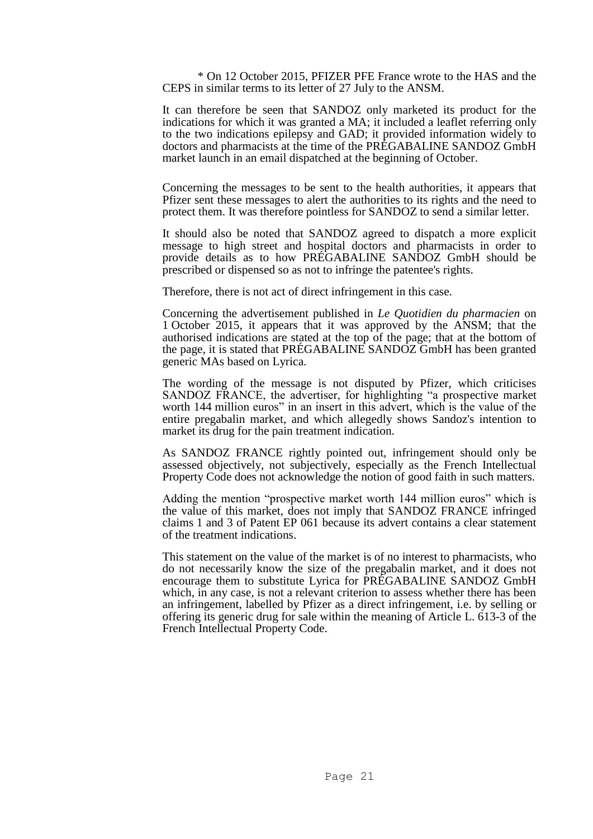\* On 12 October 2015, PFIZER PFE France wrote to the HAS and the CEPS in similar terms to its letter of 27 July to the ANSM.

It can therefore be seen that SANDOZ only marketed its product for the indications for which it was granted a MA; it included a leaflet referring only to the two indications epilepsy and GAD; it provided information widely to doctors and pharmacists at the time of the PRÉGABALINE SANDOZ GmbH market launch in an email dispatched at the beginning of October.

Concerning the messages to be sent to the health authorities, it appears that Pfizer sent these messages to alert the authorities to its rights and the need to protect them. It was therefore pointless for SANDOZ to send a similar letter.

It should also be noted that SANDOZ agreed to dispatch a more explicit message to high street and hospital doctors and pharmacists in order to provide details as to how PRÉGABALINE SANDOZ GmbH should be prescribed or dispensed so as not to infringe the patentee's rights.

Therefore, there is not act of direct infringement in this case.

Concerning the advertisement published in *Le Quotidien du pharmacien* on 1 October 2015, it appears that it was approved by the ANSM; that the authorised indications are stated at the top of the page; that at the bottom of the page, it is stated that PRÉGABALINE SANDOZ GmbH has been granted generic MAs based on Lyrica.

The wording of the message is not disputed by Pfizer, which criticises SANDOZ FRANCE, the advertiser, for highlighting "a prospective market worth 144 million euros" in an insert in this advert, which is the value of the entire pregabalin market, and which allegedly shows Sandoz's intention to market its drug for the pain treatment indication.

As SANDOZ FRANCE rightly pointed out, infringement should only be assessed objectively, not subjectively, especially as the French Intellectual Property Code does not acknowledge the notion of good faith in such matters.

Adding the mention "prospective market worth 144 million euros" which is the value of this market, does not imply that SANDOZ FRANCE infringed claims 1 and 3 of Patent EP 061 because its advert contains a clear statement of the treatment indications.

This statement on the value of the market is of no interest to pharmacists, who do not necessarily know the size of the pregabalin market, and it does not encourage them to substitute Lyrica for PRÉGABALINE SANDOZ GmbH which, in any case, is not a relevant criterion to assess whether there has been an infringement, labelled by Pfizer as a direct infringement, i.e. by selling or offering its generic drug for sale within the meaning of Article L. 613-3 of the French Intellectual Property Code.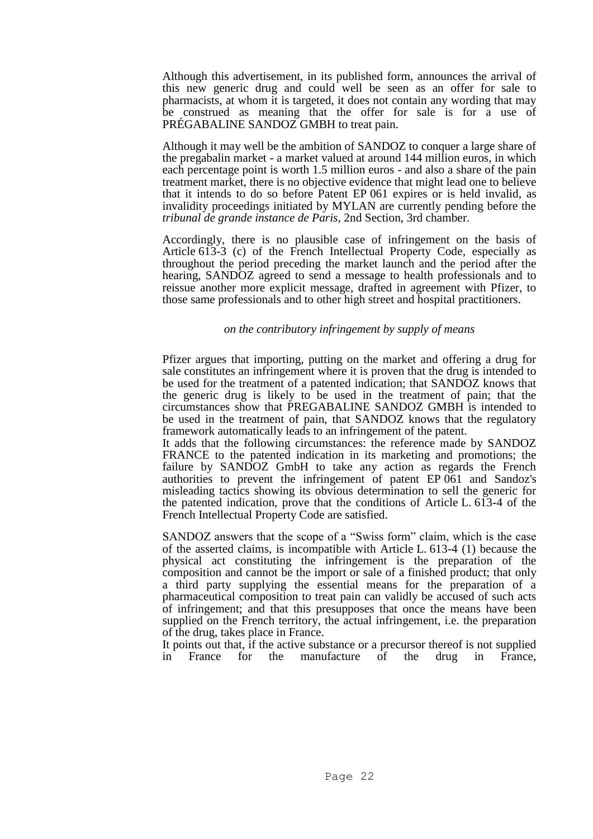Although this advertisement, in its published form, announces the arrival of this new generic drug and could well be seen as an offer for sale to pharmacists, at whom it is targeted, it does not contain any wording that may be construed as meaning that the offer for sale is for a use of PRÉGABALINE SANDOZ GMBH to treat pain.

Although it may well be the ambition of SANDOZ to conquer a large share of the pregabalin market - a market valued at around 144 million euros, in which each percentage point is worth 1.5 million euros - and also a share of the pain treatment market, there is no objective evidence that might lead one to believe that it intends to do so before Patent EP 061 expires or is held invalid, as invalidity proceedings initiated by MYLAN are currently pending before the *tribunal de grande instance de Paris*, 2nd Section, 3rd chamber.

Accordingly, there is no plausible case of infringement on the basis of Article 613-3 (c) of the French Intellectual Property Code, especially as throughout the period preceding the market launch and the period after the hearing, SANDOZ agreed to send a message to health professionals and to reissue another more explicit message, drafted in agreement with Pfizer, to those same professionals and to other high street and hospital practitioners.

## *on the contributory infringement by supply of means*

Pfizer argues that importing, putting on the market and offering a drug for sale constitutes an infringement where it is proven that the drug is intended to be used for the treatment of a patented indication; that SANDOZ knows that the generic drug is likely to be used in the treatment of pain; that the circumstances show that PREGABALINE SANDOZ GMBH is intended to be used in the treatment of pain, that SANDOZ knows that the regulatory framework automatically leads to an infringement of the patent.

It adds that the following circumstances: the reference made by SANDOZ FRANCE to the patented indication in its marketing and promotions; the failure by SANDOZ GmbH to take any action as regards the French authorities to prevent the infringement of patent EP 061 and Sandoz's misleading tactics showing its obvious determination to sell the generic for the patented indication, prove that the conditions of Article L. 613-4 of the French Intellectual Property Code are satisfied.

SANDOZ answers that the scope of a "Swiss form" claim, which is the case of the asserted claims, is incompatible with Article L. 613-4 (1) because the physical act constituting the infringement is the preparation of the composition and cannot be the import or sale of a finished product; that only a third party supplying the essential means for the preparation of a pharmaceutical composition to treat pain can validly be accused of such acts of infringement; and that this presupposes that once the means have been supplied on the French territory, the actual infringement, i.e. the preparation of the drug, takes place in France.

It points out that, if the active substance or a precursor thereof is not supplied in France for the manufacture of the drug in France,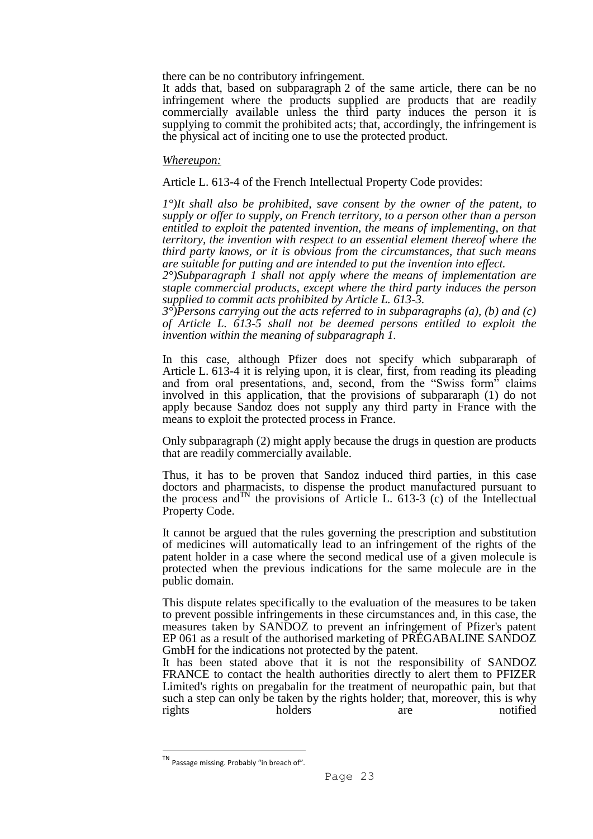there can be no contributory infringement.

It adds that, based on subparagraph 2 of the same article, there can be no infringement where the products supplied are products that are readily commercially available unless the third party induces the person it is supplying to commit the prohibited acts; that, accordingly, the infringement is the physical act of inciting one to use the protected product.

#### *Whereupon:*

Article L. 613-4 of the French Intellectual Property Code provides:

*1°)It shall also be prohibited, save consent by the owner of the patent, to supply or offer to supply, on French territory, to a person other than a person entitled to exploit the patented invention, the means of implementing, on that territory, the invention with respect to an essential element thereof where the third party knows, or it is obvious from the circumstances, that such means are suitable for putting and are intended to put the invention into effect.* 

*2°)Subparagraph 1 shall not apply where the means of implementation are staple commercial products, except where the third party induces the person supplied to commit acts prohibited by Article L. 613-3.*

*3°)Persons carrying out the acts referred to in subparagraphs (a), (b) and (c) of Article L. 613-5 shall not be deemed persons entitled to exploit the invention within the meaning of subparagraph 1.* 

In this case, although Pfizer does not specify which subpararaph of Article L. 613-4 it is relying upon, it is clear, first, from reading its pleading and from oral presentations, and, second, from the "Swiss form" claims involved in this application, that the provisions of subpararaph (1) do not apply because Sandoz does not supply any third party in France with the means to exploit the protected process in France.

Only subparagraph (2) might apply because the drugs in question are products that are readily commercially available.

Thus, it has to be proven that Sandoz induced third parties, in this case doctors and pharmacists, to dispense the product manufactured pursuant to the process and<sup>TN</sup> the provisions of Article L. 613-3 (c) of the Intellectual Property Code.

It cannot be argued that the rules governing the prescription and substitution of medicines will automatically lead to an infringement of the rights of the patent holder in a case where the second medical use of a given molecule is protected when the previous indications for the same molecule are in the public domain.

This dispute relates specifically to the evaluation of the measures to be taken to prevent possible infringements in these circumstances and, in this case, the measures taken by SANDOZ to prevent an infringement of Pfizer's patent EP 061 as a result of the authorised marketing of PRÉGABALINE SANDOZ GmbH for the indications not protected by the patent.

It has been stated above that it is not the responsibility of SANDOZ FRANCE to contact the health authorities directly to alert them to PFIZER Limited's rights on pregabalin for the treatment of neuropathic pain, but that such a step can only be taken by the rights holder; that, moreover, this is why rights holders are notified

TN Passage missing. Probably "in breach of".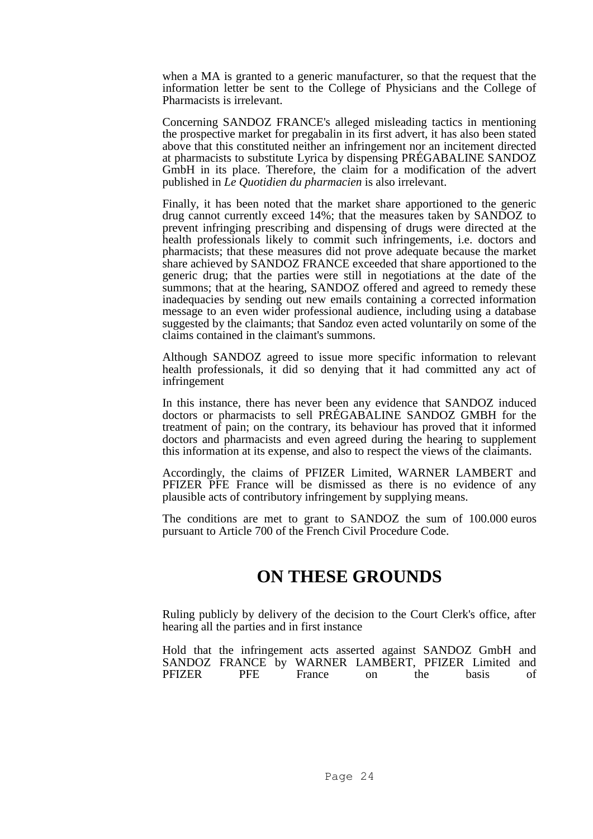when a MA is granted to a generic manufacturer, so that the request that the information letter be sent to the College of Physicians and the College of Pharmacists is irrelevant.

Concerning SANDOZ FRANCE's alleged misleading tactics in mentioning the prospective market for pregabalin in its first advert, it has also been stated above that this constituted neither an infringement nor an incitement directed at pharmacists to substitute Lyrica by dispensing PRÉGABALINE SANDOZ GmbH in its place. Therefore, the claim for a modification of the advert published in *Le Quotidien du pharmacien* is also irrelevant.

Finally, it has been noted that the market share apportioned to the generic drug cannot currently exceed 14%; that the measures taken by SANDOZ to prevent infringing prescribing and dispensing of drugs were directed at the health professionals likely to commit such infringements, i.e. doctors and pharmacists; that these measures did not prove adequate because the market share achieved by SANDOZ FRANCE exceeded that share apportioned to the generic drug; that the parties were still in negotiations at the date of the summons; that at the hearing, SANDOZ offered and agreed to remedy these inadequacies by sending out new emails containing a corrected information message to an even wider professional audience, including using a database suggested by the claimants; that Sandoz even acted voluntarily on some of the claims contained in the claimant's summons.

Although SANDOZ agreed to issue more specific information to relevant health professionals, it did so denying that it had committed any act of infringement

In this instance, there has never been any evidence that SANDOZ induced doctors or pharmacists to sell PRÉGABALINE SANDOZ GMBH for the treatment of pain; on the contrary, its behaviour has proved that it informed doctors and pharmacists and even agreed during the hearing to supplement this information at its expense, and also to respect the views of the claimants.

Accordingly, the claims of PFIZER Limited, WARNER LAMBERT and PFIZER PFE France will be dismissed as there is no evidence of any plausible acts of contributory infringement by supplying means.

The conditions are met to grant to SANDOZ the sum of 100.000 euros pursuant to Article 700 of the French Civil Procedure Code.

# **ON THESE GROUNDS**

Ruling publicly by delivery of the decision to the Court Clerk's office, after hearing all the parties and in first instance

Hold that the infringement acts asserted against SANDOZ GmbH and SANDOZ FRANCE by WARNER LAMBERT, PFIZER Limited and PFIZER PFE France on the basis of